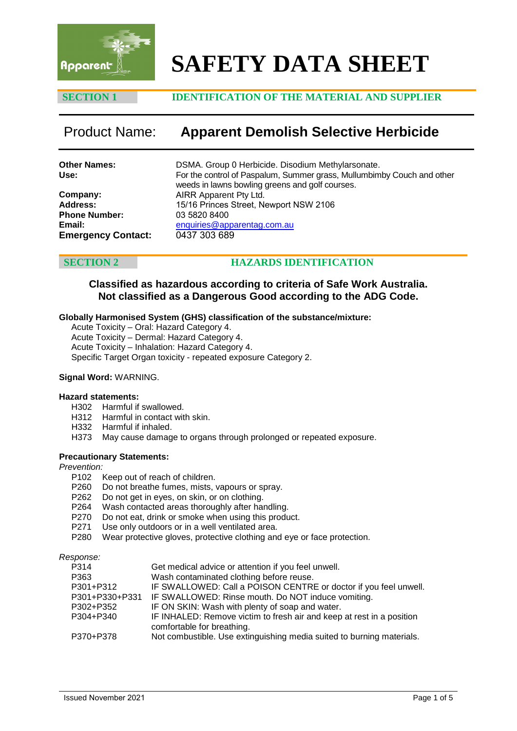

# **SAFETY DATA SHEET**

# **SECTION 1 IDENTIFICATION OF THE MATERIAL AND SUPPLIER**

# Product Name: **Apparent Demolish Selective Herbicide**

| <b>Other Names:</b>       | DSMA. Group 0 Herbicide. Disodium Methylarsonate.                                                                         |
|---------------------------|---------------------------------------------------------------------------------------------------------------------------|
| Use:                      | For the control of Paspalum, Summer grass, Mullumbimby Couch and other<br>weeds in lawns bowling greens and golf courses. |
| Company:                  | AIRR Apparent Pty Ltd.                                                                                                    |
| <b>Address:</b>           | 15/16 Princes Street, Newport NSW 2106                                                                                    |
| <b>Phone Number:</b>      | 03 5820 8400                                                                                                              |
| Email:                    | enquiries@apparentag.com.au                                                                                               |
| <b>Emergency Contact:</b> | 0437 303 689                                                                                                              |

# **SECTION 2 HAZARDS IDENTIFICATION**

# **Classified as hazardous according to criteria of Safe Work Australia. Not classified as a Dangerous Good according to the ADG Code.**

### **Globally Harmonised System (GHS) classification of the substance/mixture:**

Acute Toxicity – Oral: Hazard Category 4. Acute Toxicity – Dermal: Hazard Category 4. Acute Toxicity – Inhalation: Hazard Category 4. Specific Target Organ toxicity - repeated exposure Category 2.

### **Signal Word:** WARNING.

### **Hazard statements:**

- H302 Harmful if swallowed.
- H312 Harmful in contact with skin.
- H332 Harmful if inhaled.
- H373 May cause damage to organs through prolonged or repeated exposure.

## **Precautionary Statements:**

### *Prevention:*

- P102 Keep out of reach of children.
- P260 Do not breathe fumes, mists, vapours or spray.
- P262 Do not get in eyes, on skin, or on clothing.
- P264 Wash contacted areas thoroughly after handling.
- P270 Do not eat, drink or smoke when using this product.<br>P271 Use only outdoors or in a well ventilated area.
- Use only outdoors or in a well ventilated area.
- P280 Wear protective gloves, protective clothing and eye or face protection.

*Response:*

| P314           | Get medical advice or attention if you feel unwell.                                                 |
|----------------|-----------------------------------------------------------------------------------------------------|
| P363           | Wash contaminated clothing before reuse.                                                            |
| P301+P312      | IF SWALLOWED: Call a POISON CENTRE or doctor if you feel unwell.                                    |
| P301+P330+P331 | IF SWALLOWED: Rinse mouth. Do NOT induce vomiting.                                                  |
| P302+P352      | IF ON SKIN: Wash with plenty of soap and water.                                                     |
| P304+P340      | IF INHALED: Remove victim to fresh air and keep at rest in a position<br>comfortable for breathing. |
| P370+P378      | Not combustible. Use extinguishing media suited to burning materials.                               |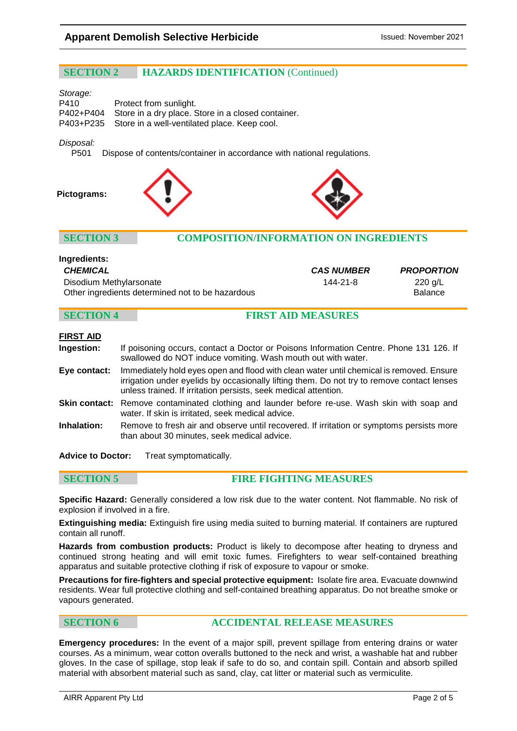# **SECTION 2 HAZARDS IDENTIFICATION** (Continued)

### *Storage:*

| P410 | Protect from sunlight.                                       |
|------|--------------------------------------------------------------|
|      | P402+P404 Store in a dry place. Store in a closed container. |
|      | P403+P235 Store in a well-ventilated place. Keep cool.       |

# *Disposal:*

Dispose of contents/container in accordance with national regulations.

### **Pictograms:**





**Ingredients:**

# **SECTION 3 COMPOSITION/INFORMATION ON INGREDIENTS**

| iliyledigilis.                                   |                   |                   |
|--------------------------------------------------|-------------------|-------------------|
| CHEMICAL                                         | <b>CAS NUMBER</b> | <b>PROPORTION</b> |
| Disodium Methylarsonate                          | 144-21-8          | 220 g/L           |
| Other ingredients determined not to be hazardous |                   | <b>Balance</b>    |

# **SECTION 4 FIRST AID MEASURES**

| FIRST AID         |   |
|-------------------|---|
| <b>Ingestion:</b> | f |

| Ingestion: | If poisoning occurs, contact a Doctor or Poisons Information Centre. Phone 131 126. If |
|------------|----------------------------------------------------------------------------------------|
|            | swallowed do NOT induce vomiting. Wash mouth out with water.                           |

- **Eye contact:** Immediately hold eyes open and flood with clean water until chemical is removed. Ensure irrigation under eyelids by occasionally lifting them. Do not try to remove contact lenses unless trained. If irritation persists, seek medical attention.
- **Skin contact:** Remove contaminated clothing and launder before re-use. Wash skin with soap and water. If skin is irritated, seek medical advice.
- **Inhalation:** Remove to fresh air and observe until recovered. If irritation or symptoms persists more than about 30 minutes, seek medical advice.

**Advice to Doctor:** Treat symptomatically.

**SECTION 5 FIRE FIGHTING MEASURES**

**Specific Hazard:** Generally considered a low risk due to the water content. Not flammable. No risk of explosion if involved in a fire.

**Extinguishing media:** Extinguish fire using media suited to burning material. If containers are ruptured contain all runoff.

**Hazards from combustion products:** Product is likely to decompose after heating to dryness and continued strong heating and will emit toxic fumes. Firefighters to wear self-contained breathing apparatus and suitable protective clothing if risk of exposure to vapour or smoke.

**Precautions for fire-fighters and special protective equipment:** Isolate fire area. Evacuate downwind residents. Wear full protective clothing and self-contained breathing apparatus. Do not breathe smoke or vapours generated.

# **SECTION 6 ACCIDENTAL RELEASE MEASURES**

**Emergency procedures:** In the event of a major spill, prevent spillage from entering drains or water courses. As a minimum, wear cotton overalls buttoned to the neck and wrist, a washable hat and rubber gloves. In the case of spillage, stop leak if safe to do so, and contain spill. Contain and absorb spilled material with absorbent material such as sand, clay, cat litter or material such as vermiculite.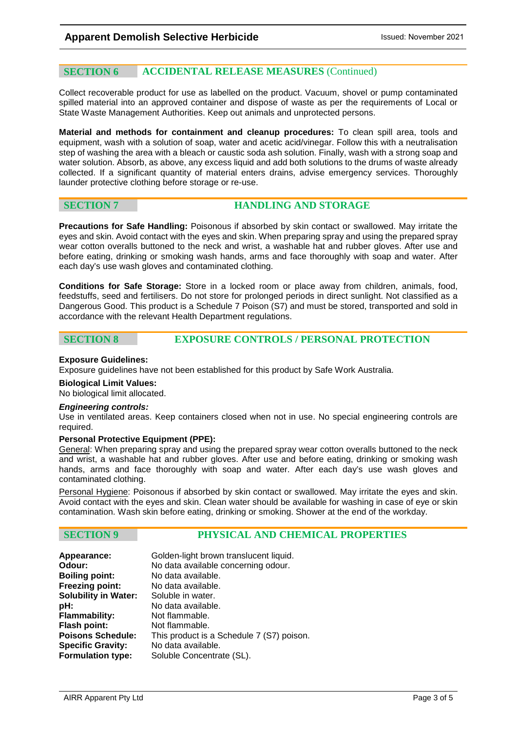# **SECTION 6 ACCIDENTAL RELEASE MEASURES** (Continued)

Collect recoverable product for use as labelled on the product. Vacuum, shovel or pump contaminated spilled material into an approved container and dispose of waste as per the requirements of Local or State Waste Management Authorities. Keep out animals and unprotected persons.

**Material and methods for containment and cleanup procedures:** To clean spill area, tools and equipment, wash with a solution of soap, water and acetic acid/vinegar. Follow this with a neutralisation step of washing the area with a bleach or caustic soda ash solution. Finally, wash with a strong soap and water solution. Absorb, as above, any excess liquid and add both solutions to the drums of waste already collected. If a significant quantity of material enters drains, advise emergency services. Thoroughly launder protective clothing before storage or re-use.

# **SECTION 7 HANDLING AND STORAGE**

**Precautions for Safe Handling:** Poisonous if absorbed by skin contact or swallowed. May irritate the eyes and skin. Avoid contact with the eyes and skin. When preparing spray and using the prepared spray wear cotton overalls buttoned to the neck and wrist, a washable hat and rubber gloves. After use and before eating, drinking or smoking wash hands, arms and face thoroughly with soap and water. After each day's use wash gloves and contaminated clothing.

**Conditions for Safe Storage:** Store in a locked room or place away from children, animals, food, feedstuffs, seed and fertilisers. Do not store for prolonged periods in direct sunlight. Not classified as a Dangerous Good. This product is a Schedule 7 Poison (S7) and must be stored, transported and sold in accordance with the relevant Health Department regulations.

**SECTION 8 EXPOSURE CONTROLS / PERSONAL PROTECTION**

## **Exposure Guidelines:**

Exposure guidelines have not been established for this product by Safe Work Australia.

### **Biological Limit Values:**

No biological limit allocated.

### *Engineering controls:*

Use in ventilated areas. Keep containers closed when not in use. No special engineering controls are required.

### **Personal Protective Equipment (PPE):**

General: When preparing spray and using the prepared spray wear cotton overalls buttoned to the neck and wrist, a washable hat and rubber gloves. After use and before eating, drinking or smoking wash hands, arms and face thoroughly with soap and water. After each day's use wash gloves and contaminated clothing.

Personal Hygiene: Poisonous if absorbed by skin contact or swallowed. May irritate the eyes and skin. Avoid contact with the eyes and skin. Clean water should be available for washing in case of eye or skin contamination. Wash skin before eating, drinking or smoking. Shower at the end of the workday.

# **SECTION 9 PHYSICAL AND CHEMICAL PROPERTIES**

| Golden-light brown translucent liquid.    |
|-------------------------------------------|
| No data available concerning odour.       |
| No data available.                        |
| No data available.                        |
| Soluble in water.                         |
| No data available.                        |
| Not flammable.                            |
| Not flammable.                            |
| This product is a Schedule 7 (S7) poison. |
| No data available.                        |
| Soluble Concentrate (SL).                 |
|                                           |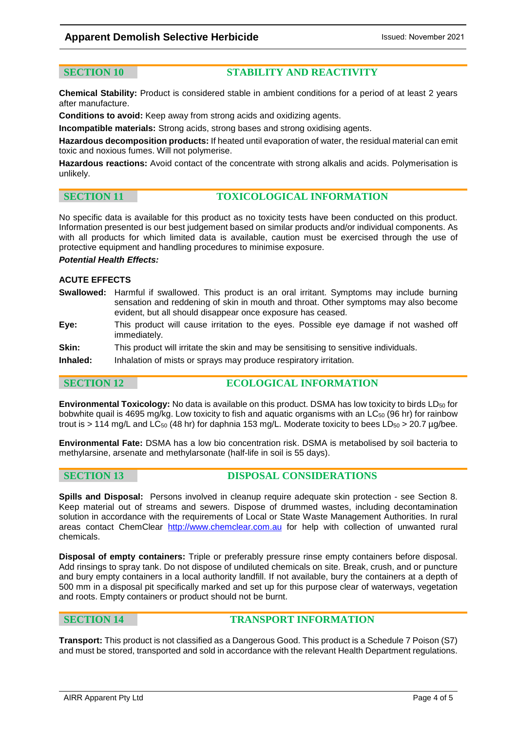# **Apparent Demolish Selective Herbicide Intervention 1991** Issued: November 2021

### **SECTION 10 STABILITY AND REACTIVITY**

**Chemical Stability:** Product is considered stable in ambient conditions for a period of at least 2 years after manufacture.

**Conditions to avoid:** Keep away from strong acids and oxidizing agents.

**Incompatible materials:** Strong acids, strong bases and strong oxidising agents.

**Hazardous decomposition products:** If heated until evaporation of water, the residual material can emit toxic and noxious fumes. Will not polymerise.

**Hazardous reactions:** Avoid contact of the concentrate with strong alkalis and acids. Polymerisation is unlikely.

# **SECTION 11 TOXICOLOGICAL INFORMATION**

No specific data is available for this product as no toxicity tests have been conducted on this product. Information presented is our best judgement based on similar products and/or individual components. As with all products for which limited data is available, caution must be exercised through the use of protective equipment and handling procedures to minimise exposure.

### *Potential Health Effects:*

### **ACUTE EFFECTS**

- **Swallowed:** Harmful if swallowed. This product is an oral irritant. Symptoms may include burning sensation and reddening of skin in mouth and throat. Other symptoms may also become evident, but all should disappear once exposure has ceased.
- **Eye:** This product will cause irritation to the eyes. Possible eye damage if not washed off immediately.
- **Skin:** This product will irritate the skin and may be sensitising to sensitive individuals.

**Inhaled:** Inhalation of mists or sprays may produce respiratory irritation.

# **SECTION 12 ECOLOGICAL INFORMATION**

**Environmental Toxicology:** No data is available on this product. DSMA has low toxicity to birds LD<sub>50</sub> for bobwhite quail is 4695 mg/kg. Low toxicity to fish and aquatic organisms with an LC50 (96 hr) for rainbow trout is > 114 mg/L and  $LC_{50}$  (48 hr) for daphnia 153 mg/L. Moderate toxicity to bees  $LD_{50}$  > 20.7 µg/bee.

**Environmental Fate:** DSMA has a low bio concentration risk. DSMA is metabolised by soil bacteria to methylarsine, arsenate and methylarsonate (half-life in soil is 55 days).

**SECTION 13 DISPOSAL CONSIDERATIONS**

**Spills and Disposal:** Persons involved in cleanup require adequate skin protection - see Section 8. Keep material out of streams and sewers. Dispose of drummed wastes, including decontamination solution in accordance with the requirements of Local or State Waste Management Authorities. In rural areas contact ChemClear [http://www.chemclear.com.au](http://www.chemclear.com.au/) for help with collection of unwanted rural chemicals.

**Disposal of empty containers:** Triple or preferably pressure rinse empty containers before disposal. Add rinsings to spray tank. Do not dispose of undiluted chemicals on site. Break, crush, and or puncture and bury empty containers in a local authority landfill. If not available, bury the containers at a depth of 500 mm in a disposal pit specifically marked and set up for this purpose clear of waterways, vegetation and roots. Empty containers or product should not be burnt.

### **SECTION 14 TRANSPORT INFORMATION**

**Transport:** This product is not classified as a Dangerous Good. This product is a Schedule 7 Poison (S7) and must be stored, transported and sold in accordance with the relevant Health Department regulations.